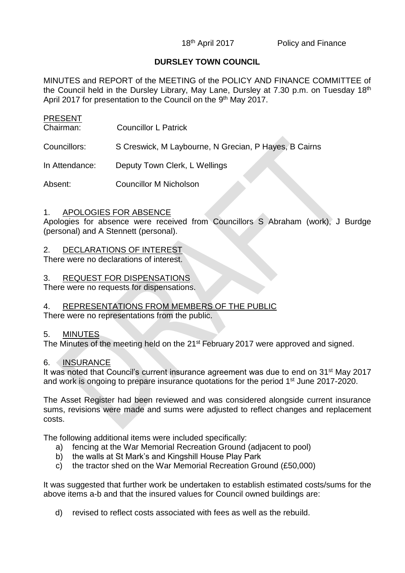# **DURSLEY TOWN COUNCIL**

MINUTES and REPORT of the MEETING of the POLICY AND FINANCE COMMITTEE of the Council held in the Dursley Library, May Lane, Dursley at 7.30 p.m. on Tuesday 18<sup>th</sup> April 2017 for presentation to the Council on the 9<sup>th</sup> May 2017.

| <b>PRESENT</b><br>Chairman: | <b>Councillor L Patrick</b>                           |
|-----------------------------|-------------------------------------------------------|
| Councillors:                | S Creswick, M Laybourne, N Grecian, P Hayes, B Cairns |
| In Attendance:              | Deputy Town Clerk, L Wellings                         |
| Absent:                     | <b>Councillor M Nicholson</b>                         |

## 1. APOLOGIES FOR ABSENCE

Apologies for absence were received from Councillors S Abraham (work), J Burdge (personal) and A Stennett (personal).

## 2. DECLARATIONS OF INTEREST

There were no declarations of interest.

## 3. REQUEST FOR DISPENSATIONS

There were no requests for dispensations.

## 4. REPRESENTATIONS FROM MEMBERS OF THE PUBLIC

There were no representations from the public.

#### 5. MINUTES

The Minutes of the meeting held on the 21<sup>st</sup> February 2017 were approved and signed.

## 6. INSURANCE

It was noted that Council's current insurance agreement was due to end on 31<sup>st</sup> May 2017 and work is ongoing to prepare insurance quotations for the period 1<sup>st</sup> June 2017-2020.

The Asset Register had been reviewed and was considered alongside current insurance sums, revisions were made and sums were adjusted to reflect changes and replacement costs.

The following additional items were included specifically:

- a) fencing at the War Memorial Recreation Ground (adjacent to pool)
- b) the walls at St Mark's and Kingshill House Play Park
- c) the tractor shed on the War Memorial Recreation Ground (£50,000)

It was suggested that further work be undertaken to establish estimated costs/sums for the above items a-b and that the insured values for Council owned buildings are:

d) revised to reflect costs associated with fees as well as the rebuild.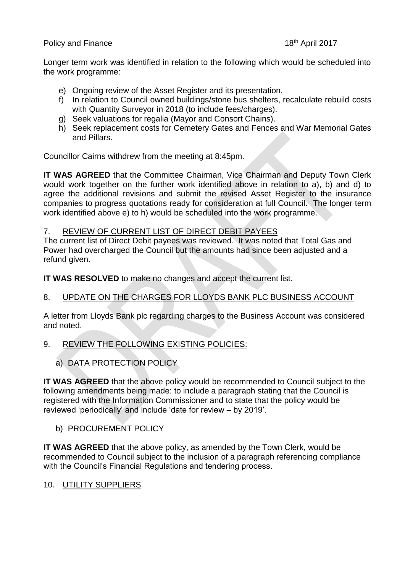## Policy and Finance 18th April 2017

Longer term work was identified in relation to the following which would be scheduled into the work programme:

- e) Ongoing review of the Asset Register and its presentation.
- f) In relation to Council owned buildings/stone bus shelters, recalculate rebuild costs with Quantity Surveyor in 2018 (to include fees/charges).
- g) Seek valuations for regalia (Mayor and Consort Chains).
- h) Seek replacement costs for Cemetery Gates and Fences and War Memorial Gates and Pillars.

Councillor Cairns withdrew from the meeting at 8:45pm.

**IT WAS AGREED** that the Committee Chairman, Vice Chairman and Deputy Town Clerk would work together on the further work identified above in relation to a), b) and d) to agree the additional revisions and submit the revised Asset Register to the insurance companies to progress quotations ready for consideration at full Council. The longer term work identified above e) to h) would be scheduled into the work programme.

### 7. REVIEW OF CURRENT LIST OF DIRECT DEBIT PAYEES

The current list of Direct Debit payees was reviewed. It was noted that Total Gas and Power had overcharged the Council but the amounts had since been adjusted and a refund given.

**IT WAS RESOLVED** to make no changes and accept the current list.

# 8. UPDATE ON THE CHARGES FOR LLOYDS BANK PLC BUSINESS ACCOUNT

A letter from Lloyds Bank plc regarding charges to the Business Account was considered and noted.

# 9. REVIEW THE FOLLOWING EXISTING POLICIES:

# a) DATA PROTECTION POLICY

**IT WAS AGREED** that the above policy would be recommended to Council subject to the following amendments being made: to include a paragraph stating that the Council is registered with the Information Commissioner and to state that the policy would be reviewed 'periodically' and include 'date for review – by 2019'.

## b) PROCUREMENT POLICY

**IT WAS AGREED** that the above policy, as amended by the Town Clerk, would be recommended to Council subject to the inclusion of a paragraph referencing compliance with the Council's Financial Regulations and tendering process.

## 10. UTILITY SUPPLIERS